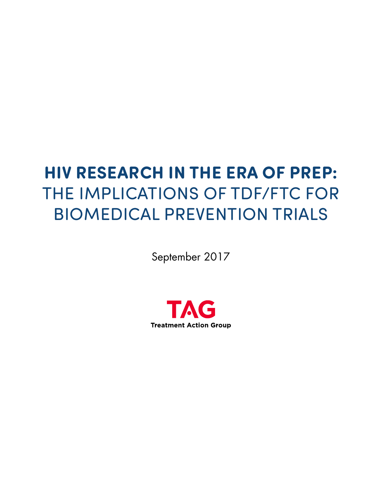# **HIV RESEARCH IN THE ERA OF PREP:** THE IMPLICATIONS OF TDF/FTC FOR BIOMEDICAL PREVENTION TRIALS

September 2017

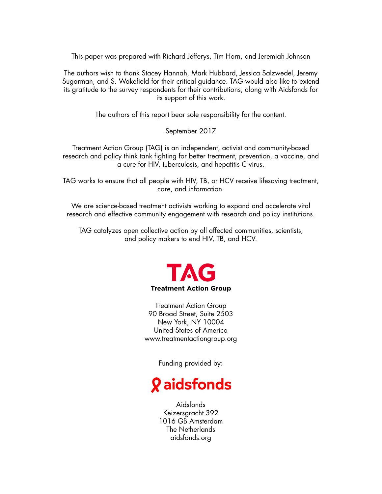This paper was prepared with Richard Jefferys, Tim Horn, and Jeremiah Johnson

The authors wish to thank Stacey Hannah, Mark Hubbard, Jessica Salzwedel, Jeremy Sugarman, and S. Wakefield for their critical guidance. TAG would also like to extend its gratitude to the survey respondents for their contributions, along with Aidsfonds for its support of this work.

The authors of this report bear sole responsibility for the content.

September 2017

Treatment Action Group (TAG) is an independent, activist and community-based research and policy think tank fighting for better treatment, prevention, a vaccine, and a cure for HIV, tuberculosis, and hepatitis C virus.

TAG works to ensure that all people with HIV, TB, or HCV receive lifesaving treatment, care, and information.

We are science-based treatment activists working to expand and accelerate vital research and effective community engagement with research and policy institutions.

TAG catalyzes open collective action by all affected communities, scientists, and policy makers to end HIV, TB, and HCV.



Treatment Action Group 90 Broad Street, Suite 2503 New York, NY 10004 United States of America www.treatmentactiongroup.org

Funding provided by:

# **Q** aidsfonds

Aidsfonds Keizersgracht 392 1016 GB Amsterdam The Netherlands aidsfonds.org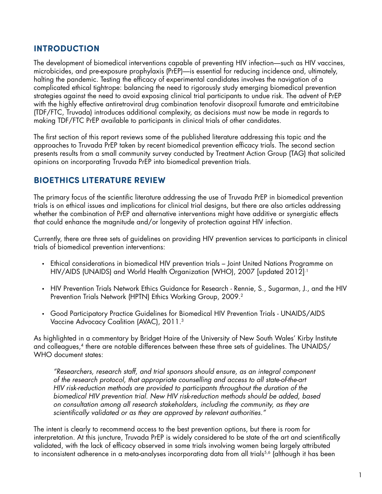## **INTRODUCTION**

The development of biomedical interventions capable of preventing HIV infection—such as HIV vaccines, microbicides, and pre-exposure prophylaxis (PrEP)—is essential for reducing incidence and, ultimately, halting the pandemic. Testing the efficacy of experimental candidates involves the navigation of a complicated ethical tightrope: balancing the need to rigorously study emerging biomedical prevention strategies against the need to avoid exposing clinical trial participants to undue risk. The advent of PrEP with the highly effective antiretroviral drug combination tenofovir disoproxil fumarate and emtricitabine (TDF/FTC, Truvada) introduces additional complexity, as decisions must now be made in regards to making TDF/FTC PrEP available to participants in clinical trials of other candidates.

The first section of this report reviews some of the published literature addressing this topic and the approaches to Truvada PrEP taken by recent biomedical prevention efficacy trials. The second section presents results from a small community survey conducted by Treatment Action Group (TAG) that solicited opinions on incorporating Truvada PrEP into biomedical prevention trials.

#### **BIOETHICS LITERATURE REVIEW**

The primary focus of the scientific literature addressing the use of Truvada PrEP in biomedical prevention trials is on ethical issues and implications for clinical trial designs, but there are also articles addressing whether the combination of PrEP and alternative interventions might have additive or synergistic effects that could enhance the magnitude and/or longevity of protection against HIV infection.

Currently, there are three sets of guidelines on providing HIV prevention services to participants in clinical trials of biomedical prevention interventions:

- Ethical considerations in biomedical HIV prevention trials Joint United Nations Programme on HIV/AIDS (UNAIDS) and World Health Organization (WHO), 2007 [updated 2012]<sup>1</sup>
- HIV Prevention Trials Network Ethics Guidance for Research Rennie, S., Sugarman, J., and the HIV Prevention Trials Network (HPTN) Ethics Working Group, 2009.<sup>2</sup>
- Good Participatory Practice Guidelines for Biomedical HIV Prevention Trials UNAIDS/AIDS Vaccine Advocacy Coalition (AVAC), 2011.3

As highlighted in a commentary by Bridget Haire of the University of New South Wales' Kirby Institute and colleagues,<sup>4</sup> there are notable differences between these three sets of guidelines. The UNAIDS/ WHO document states:

*"Researchers, research staff, and trial sponsors should ensure, as an integral component of the research protocol, that appropriate counselling and access to all state-of-the-art HIV risk-reduction methods are provided to participants throughout the duration of the biomedical HIV prevention trial. New HIV risk-reduction methods should be added, based on consultation among all research stakeholders, including the community, as they are scientifically validated or as they are approved by relevant authorities."*

The intent is clearly to recommend access to the best prevention options, but there is room for interpretation. At this juncture, Truvada PrEP is widely considered to be state of the art and scientifically validated, with the lack of efficacy observed in some trials involving women being largely attributed to inconsistent adherence in a meta-analyses incorporating data from all trials<sup>5,6</sup> (although it has been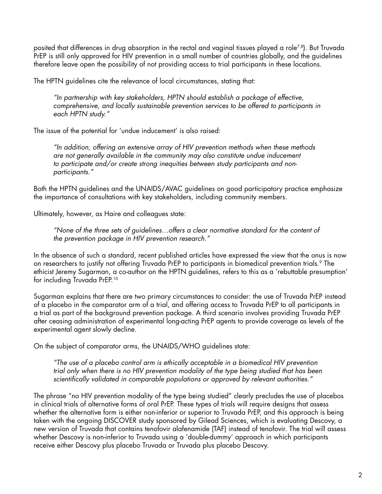posited that differences in drug absorption in the rectal and vaginal tissues played a role<sup>7,8</sup>). But Truvada PrEP is still only approved for HIV prevention in a small number of countries globally, and the guidelines therefore leave open the possibility of not providing access to trial participants in these locations.

The HPTN guidelines cite the relevance of local circumstances, stating that:

*"In partnership with key stakeholders, HPTN should establish a package of effective, comprehensive, and locally sustainable prevention services to be offered to participants in each HPTN study."*

The issue of the potential for 'undue inducement' is also raised:

*"In addition, offering an extensive array of HIV prevention methods when these methods are not generally available in the community may also constitute undue inducement to participate and/or create strong inequities between study participants and nonparticipants."* 

Both the HPTN guidelines and the UNAIDS/AVAC guidelines on good participatory practice emphasize the importance of consultations with key stakeholders, including community members.

Ultimately, however, as Haire and colleagues state:

*"None of the three sets of guidelines…offers a clear normative standard for the content of the prevention package in HIV prevention research."*

In the absence of such a standard, recent published articles have expressed the view that the onus is now on researchers to justify not offering Truvada PrEP to participants in biomedical prevention trials.<sup>9</sup> The ethicist Jeremy Sugarman, a co-author on the HPTN guidelines, refers to this as a 'rebuttable presumption' for including Truvada PrEP.10

Sugarman explains that there are two primary circumstances to consider: the use of Truvada PrEP instead of a placebo in the comparator arm of a trial, and offering access to Truvada PrEP to all participants in a trial as part of the background prevention package. A third scenario involves providing Truvada PrEP after ceasing administration of experimental long-acting PrEP agents to provide coverage as levels of the experimental agent slowly decline.

On the subject of comparator arms, the UNAIDS/WHO guidelines state:

*"The use of a placebo control arm is ethically acceptable in a biomedical HIV prevention trial only when there is no HIV prevention modality of the type being studied that has been scientifically validated in comparable populations or approved by relevant authorities."*

The phrase "no HIV prevention modality of the type being studied" clearly precludes the use of placebos in clinical trials of alternative forms of oral PrEP. These types of trials will require designs that assess whether the alternative form is either non-inferior or superior to Truvada PrEP, and this approach is being taken with the ongoing DISCOVER study sponsored by Gilead Sciences, which is evaluating Descovy, a new version of Truvada that contains tenofovir alafenamide (TAF) instead of tenofovir. The trial will assess whether Descovy is non-inferior to Truvada using a 'double-dummy' approach in which participants receive either Descovy plus placebo Truvada or Truvada plus placebo Descovy.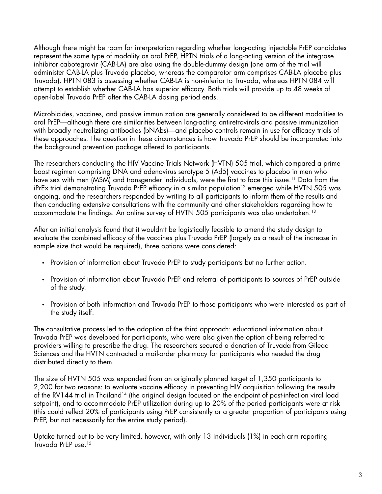Although there might be room for interpretation regarding whether long-acting injectable PrEP candidates represent the same type of modality as oral PrEP, HPTN trials of a long-acting version of the integrase inhibitor cabotegravir (CAB-LA) are also using the double-dummy design (one arm of the trial will administer CAB-LA plus Truvada placebo, whereas the comparator arm comprises CAB-LA placebo plus Truvada). HPTN 083 is assessing whether CAB-LA is non-inferior to Truvada, whereas HPTN 084 will attempt to establish whether CAB-LA has superior efficacy. Both trials will provide up to 48 weeks of open-label Truvada PrEP after the CAB-LA dosing period ends.

Microbicides, vaccines, and passive immunization are generally considered to be different modalities to oral PrEP—although there are similarities between long-acting antiretrovirals and passive immunization with broadly neutralizing antibodies (bNAbs)—and placebo controls remain in use for efficacy trials of these approaches. The question in these circumstances is how Truvada PrEP should be incorporated into the background prevention package offered to participants.

The researchers conducting the HIV Vaccine Trials Network (HVTN) 505 trial, which compared a primeboost regimen comprising DNA and adenovirus serotype 5 (Ad5) vaccines to placebo in men who have sex with men (MSM) and transgender individuals, were the first to face this issue.<sup>11</sup> Data from the iPrEx trial demonstrating Truvada PrEP efficacy in a similar population<sup>12</sup> emerged while HVTN 505 was ongoing, and the researchers responded by writing to all participants to inform them of the results and then conducting extensive consultations with the community and other stakeholders regarding how to accommodate the findings. An online survey of HVTN 505 participants was also undertaken.<sup>13</sup>

After an initial analysis found that it wouldn't be logistically feasible to amend the study design to evaluate the combined efficacy of the vaccines plus Truvada PrEP (largely as a result of the increase in sample size that would be required), three options were considered:

- Provision of information about Truvada PrEP to study participants but no further action.
- Provision of information about Truvada PrEP and referral of participants to sources of PrEP outside of the study.
- Provision of both information and Truvada PrEP to those participants who were interested as part of the study itself.

The consultative process led to the adoption of the third approach: educational information about Truvada PrEP was developed for participants, who were also given the option of being referred to providers willing to prescribe the drug. The researchers secured a donation of Truvada from Gilead Sciences and the HVTN contracted a mail-order pharmacy for participants who needed the drug distributed directly to them.

The size of HVTN 505 was expanded from an originally planned target of 1,350 participants to 2,200 for two reasons: to evaluate vaccine efficacy in preventing HIV acquisition following the results of the RV144 trial in Thailand<sup>14</sup> (the original design focused on the endpoint of post-infection viral load setpoint), and to accommodate PrEP utilization during up to 20% of the period participants were at risk (this could reflect 20% of participants using PrEP consistently or a greater proportion of participants using PrEP, but not necessarily for the entire study period).

Uptake turned out to be very limited, however, with only 13 individuals (1%) in each arm reporting Truvada PrEP use.15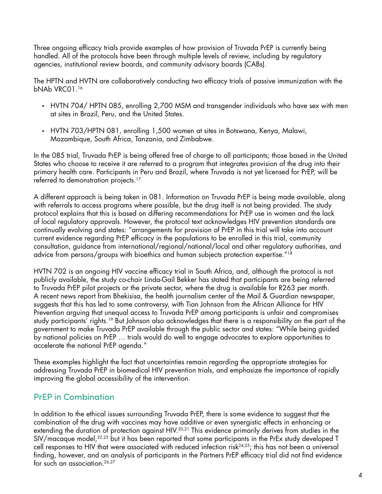Three ongoing efficacy trials provide examples of how provision of Truvada PrEP is currently being handled. All of the protocols have been through multiple levels of review, including by regulatory agencies, institutional review boards, and community advisory boards (CABs).

The HPTN and HVTN are collaboratively conducting two efficacy trials of passive immunization with the bNAb VRC01.16

- HVTN 704/ HPTN 085, enrolling 2,700 MSM and transgender individuals who have sex with men at sites in Brazil, Peru, and the United States.
- HVTN 703/HPTN 081, enrolling 1,500 women at sites in Botswana, Kenya, Malawi, Mozambique, South Africa, Tanzania, and Zimbabwe.

In the 085 trial, Truvada PrEP is being offered free of charge to all participants; those based in the United States who choose to receive it are referred to a program that integrates provision of the drug into their primary health care. Participants in Peru and Brazil, where Truvada is not yet licensed for PrEP, will be referred to demonstration projects.<sup>17</sup>

A different approach is being taken in 081. Information on Truvada PrEP is being made available, along with referrals to access programs where possible, but the drug itself is not being provided. The study protocol explains that this is based on differing recommendations for PrEP use in women and the lack of local regulatory approvals. However, the protocol text acknowledges HIV prevention standards are continually evolving and states: "arrangements for provision of PrEP in this trial will take into account current evidence regarding PrEP efficacy in the populations to be enrolled in this trial, community consultation, guidance from international/regional/national/local and other regulatory authorities, and advice from persons/groups with bioethics and human subjects protection expertise."18

HVTN 702 is an ongoing HIV vaccine efficacy trial in South Africa, and, although the protocol is not publicly available, the study co-chair Linda-Gail Bekker has stated that participants are being referred to Truvada PrEP pilot projects or the private sector, where the drug is available for R263 per month. A recent news report from Bhekisisa, the health journalism center of the Mail & Guardian newspaper, suggests that this has led to some controversy, with Tian Johnson from the African Alliance for HIV Prevention arguing that unequal access to Truvada PrEP among participants is unfair and compromises study participants' rights.19 But Johnson also acknowledges that there is a responsibility on the part of the government to make Truvada PrEP available through the public sector and states: "While being guided by national policies on PrEP … trials would do well to engage advocates to explore opportunities to accelerate the national PrEP agenda."

These examples highlight the fact that uncertainties remain regarding the appropriate strategies for addressing Truvada PrEP in biomedical HIV prevention trials, and emphasize the importance of rapidly improving the global accessibility of the intervention.

# PrEP in Combination

In addition to the ethical issues surrounding Truvada PrEP, there is some evidence to suggest that the combination of the drug with vaccines may have additive or even synergistic effects in enhancing or extending the duration of protection against HIV.<sup>20,21</sup> This evidence primarily derives from studies in the SIV/macaque model,<sup>22,23</sup> but it has been reported that some participants in the PrEx study developed T cell responses to HIV that were associated with reduced infection risk<sup>24,25</sup>; this has not been a universal finding, however, and an analysis of participants in the Partners PrEP efficacy trial did not find evidence for such an association.<sup>26,27</sup>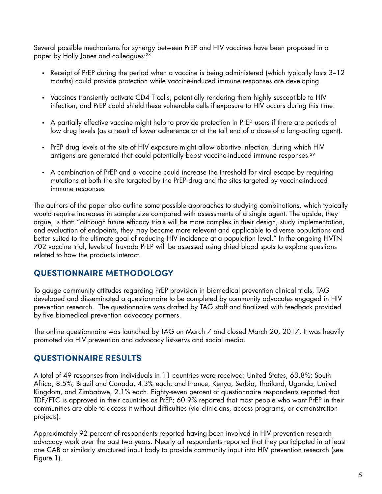Several possible mechanisms for synergy between PrEP and HIV vaccines have been proposed in a paper by Holly Janes and colleagues:<sup>28</sup>

- Receipt of PrEP during the period when a vaccine is being administered (which typically lasts 3–12 months) could provide protection while vaccine-induced immune responses are developing.
- Vaccines transiently activate CD4 T cells, potentially rendering them highly susceptible to HIV infection, and PrEP could shield these vulnerable cells if exposure to HIV occurs during this time.
- A partially effective vaccine might help to provide protection in PrEP users if there are periods of low drug levels (as a result of lower adherence or at the tail end of a dose of a long-acting agent).
- PrEP drug levels at the site of HIV exposure might allow abortive infection, during which HIV antigens are generated that could potentially boost vaccine-induced immune responses.29
- A combination of PrEP and a vaccine could increase the threshold for viral escape by requiring mutations at both the site targeted by the PrEP drug and the sites targeted by vaccine-induced immune responses

The authors of the paper also outline some possible approaches to studying combinations, which typically would require increases in sample size compared with assessments of a single agent. The upside, they argue, is that: "although future efficacy trials will be more complex in their design, study implementation, and evaluation of endpoints, they may become more relevant and applicable to diverse populations and better suited to the ultimate goal of reducing HIV incidence at a population level." In the ongoing HVTN 702 vaccine trial, levels of Truvada PrEP will be assessed using dried blood spots to explore questions related to how the products interact.

#### **QUESTIONNAIRE METHODOLOGY**

To gauge community attitudes regarding PrEP provision in biomedical prevention clinical trials, TAG developed and disseminated a questionnaire to be completed by community advocates engaged in HIV prevention research. The questionnaire was drafted by TAG staff and finalized with feedback provided by five biomedical prevention advocacy partners.

The online questionnaire was launched by TAG on March 7 and closed March 20, 2017. It was heavily promoted via HIV prevention and advocacy list-servs and social media.

#### **QUESTIONNAIRE RESULTS**

A total of 49 responses from individuals in 11 countries were received: United States, 63.8%; South Africa, 8.5%; Brazil and Canada, 4.3% each; and France, Kenya, Serbia, Thailand, Uganda, United Kingdom, and Zimbabwe, 2.1% each. Eighty-seven percent of questionnaire respondents reported that TDF/FTC is approved in their countries as PrEP; 60.9% reported that most people who want PrEP in their communities are able to access it without difficulties (via clinicians, access programs, or demonstration projects).

Approximately 92 percent of respondents reported having been involved in HIV prevention research advocacy work over the past two years. Nearly all respondents reported that they participated in at least one CAB or similarly structured input body to provide community input into HIV prevention research (see Figure 1).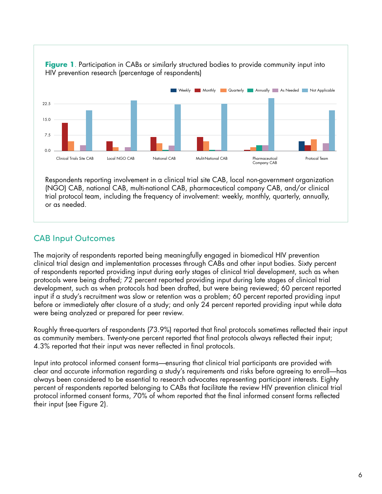

**Figure 1.** Participation in CABs or similarly structured bodies to provide community input into HIV prevention research (percentage of respondents)

Respondents reporting involvement in a clinical trial site CAB, local non-government organization (NGO) CAB, national CAB, multi-national CAB, pharmaceutical company CAB, and/or clinical trial protocol team, including the frequency of involvement: weekly, monthly, quarterly, annually, or as needed.

# CAB Input Outcomes

The majority of respondents reported being meaningfully engaged in biomedical HIV prevention clinical trial design and implementation processes through CABs and other input bodies. Sixty percent of respondents reported providing input during early stages of clinical trial development, such as when protocols were being drafted; 72 percent reported providing input during late stages of clinical trial development, such as when protocols had been drafted, but were being reviewed; 60 percent reported input if a study's recruitment was slow or retention was a problem; 60 percent reported providing input before or immediately after closure of a study; and only 24 percent reported providing input while data were being analyzed or prepared for peer review.

Roughly three-quarters of respondents (73.9%) reported that final protocols sometimes reflected their input as community members. Twenty-one percent reported that final protocols always reflected their input; 4.3% reported that their input was never reflected in final protocols.

Input into protocol informed consent forms—ensuring that clinical trial participants are provided with clear and accurate information regarding a study's requirements and risks before agreeing to enroll—has always been considered to be essential to research advocates representing participant interests. Eighty percent of respondents reported belonging to CABs that facilitate the review HIV prevention clinical trial protocol informed consent forms, 70% of whom reported that the final informed consent forms reflected their input (see Figure 2).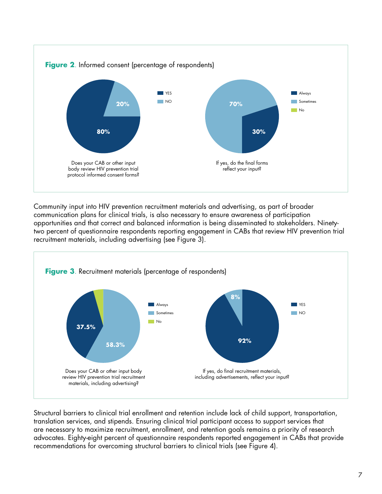

Community input into HIV prevention recruitment materials and advertising, as part of broader communication plans for clinical trials, is also necessary to ensure awareness of participation opportunities and that correct and balanced information is being disseminated to stakeholders. Ninetytwo percent of questionnaire respondents reporting engagement in CABs that review HIV prevention trial recruitment materials, including advertising (see Figure 3).



Structural barriers to clinical trial enrollment and retention include lack of child support, transportation, translation services, and stipends. Ensuring clinical trial participant access to support services that are necessary to maximize recruitment, enrollment, and retention goals remains a priority of research advocates. Eighty-eight percent of questionnaire respondents reported engagement in CABs that provide recommendations for overcoming structural barriers to clinical trials (see Figure 4).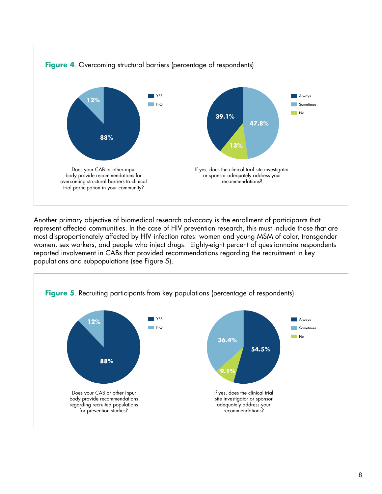

Another primary objective of biomedical research advocacy is the enrollment of participants that represent affected communities. In the case of HIV prevention research, this must include those that are most disproportionately affected by HIV infection rates: women and young MSM of color, transgender women, sex workers, and people who inject drugs. Eighty-eight percent of questionnaire respondents reported involvement in CABs that provided recommendations regarding the recruitment in key populations and subpopulations (see Figure 5).

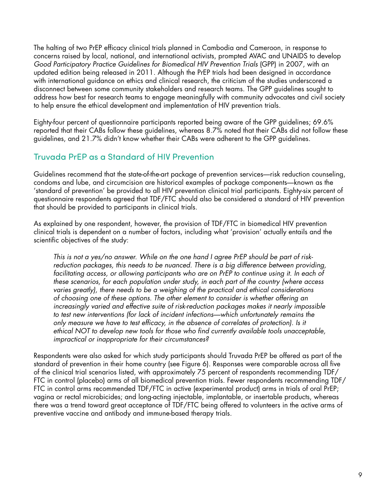The halting of two PrEP efficacy clinical trials planned in Cambodia and Cameroon, in response to concerns raised by local, national, and international activists, prompted AVAC and UNAIDS to develop *Good Participatory Practice Guidelines for Biomedical HIV Prevention Trials* (GPP) in 2007, with an updated edition being released in 2011. Although the PrEP trials had been designed in accordance with international guidance on ethics and clinical research, the criticism of the studies underscored a disconnect between some community stakeholders and research teams. The GPP guidelines sought to address how best for research teams to engage meaningfully with community advocates and civil society to help ensure the ethical development and implementation of HIV prevention trials.

Eighty-four percent of questionnaire participants reported being aware of the GPP guidelines; 69.6% reported that their CABs follow these guidelines, whereas 8.7% noted that their CABs did not follow these guidelines, and 21.7% didn't know whether their CABs were adherent to the GPP guidelines.

# Truvada PrEP as a Standard of HIV Prevention

Guidelines recommend that the state-of-the-art package of prevention services—risk reduction counseling, condoms and lube, and circumcision are historical examples of package components—known as the 'standard of prevention' be provided to all HIV prevention clinical trial participants. Eighty-six percent of questionnaire respondents agreed that TDF/FTC should also be considered a standard of HIV prevention that should be provided to participants in clinical trials.

As explained by one respondent, however, the provision of TDF/FTC in biomedical HIV prevention clinical trials is dependent on a number of factors, including what 'provision' actually entails and the scientific objectives of the study:

*This is not a yes/no answer. While on the one hand I agree PrEP should be part of riskreduction packages, this needs to be nuanced. There is a big difference between providing,*  facilitating access, or allowing participants who are on PrEP to continue using it. In each of *these scenarios, for each population under study, in each part of the country (where access varies greatly), there needs to be a weighing of the practical and ethical considerations of choosing one of these options. The other element to consider is whether offering an increasingly varied and effective suite of risk-reduction packages makes it nearly impossible to test new interventions (for lack of incident infections—which unfortunately remains the only measure we have to test efficacy, in the absence of correlates of protection). Is it ethical NOT to develop new tools for those who find currently available tools unacceptable, impractical or inappropriate for their circumstances?*

Respondents were also asked for which study participants should Truvada PrEP be offered as part of the standard of prevention in their home country (see Figure 6). Responses were comparable across all five of the clinical trial scenarios listed, with approximately 75 percent of respondents recommending TDF/ FTC in control (placebo) arms of all biomedical prevention trials. Fewer respondents recommending TDF/ FTC in control arms recommended TDF/FTC in active (experimental product) arms in trials of oral PrEP; vagina or rectal microbicides; and long-acting injectable, implantable, or insertable products, whereas there was a trend toward great acceptance of TDF/FTC being offered to volunteers in the active arms of preventive vaccine and antibody and immune-based therapy trials.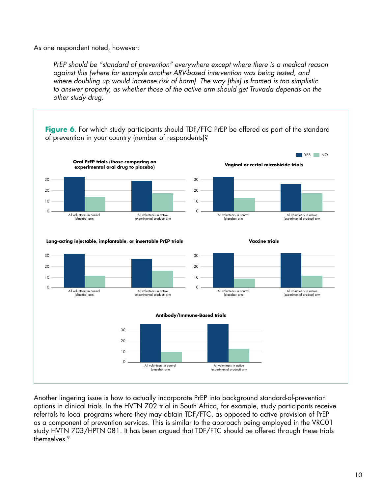As one respondent noted, however:

*PrEP should be "standard of prevention" everywhere except where there is a medical reason against this (where for example another ARV-based intervention was being tested, and where doubling up would increase risk of harm). The way [this] is framed is too simplistic*  to answer properly, as whether those of the active arm should get Truvada depends on the *other study drug.* 



Another lingering issue is how to actually incorporate PrEP into background standard-of-prevention options in clinical trials. In the HVTN 702 trial in South Africa, for example, study participants receive referrals to local programs where they may obtain TDF/FTC, as opposed to active provision of PrEP as a component of prevention services. This is similar to the approach being employed in the VRC01 study HVTN 703/HPTN 081. It has been argued that TDF/FTC should be offered through these trials themselves.9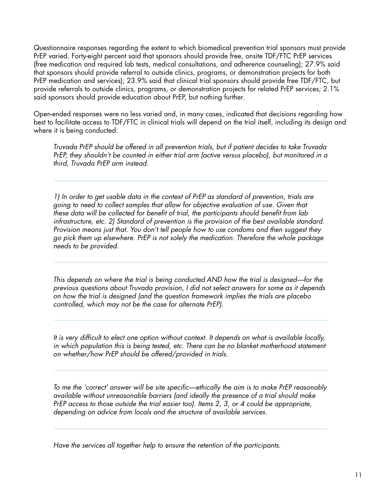Questionnaire responses regarding the extent to which biomedical prevention trial sponsors must provide PrEP varied. Forty-eight percent said that sponsors should provide free, onsite TDF/FTC PrEP services (free medication and required lab tests, medical consultations, and adherence counseling); 27.9% said that sponsors should provide referral to outside clinics, programs, or demonstration projects for both PrEP medication and services); 23.9% said that clinical trial sponsors should provide free TDF/FTC, but provide referrals to outside clinics, programs, or demonstration projects for related PrEP services; 2.1% said sponsors should provide education about PrEP, but nothing further.

Open-ended responses were no less varied and, in many cases, indicated that decisions regarding how best to facilitate access to TDF/FTC in clinical trials will depend on the trial itself, including its design and where it is being conducted:

*Truvada PrEP should be offered in all prevention trials, but if patient decides to take Truvada PrEP, they shouldn't be counted in either trial arm (active versus placebo), but monitored in a third, Truvada PrEP arm instead.* 

*1) In order to get usable data in the context of PrEP as standard of prevention, trials are going to need to collect samples that allow for objective evaluation of use. Given that these data will be collected for benefit of trial, the participants should benefit from lab infrastructure, etc. 2) Standard of prevention is the provision of the best available standard. Provision means just that. You don't tell people how to use condoms and then suggest they go pick them up elsewhere. PrEP is not solely the medication. Therefore the whole package needs to be provided.* 

*This depends on where the trial is being conducted AND how the trial is designed—for the previous questions about Truvada provision, I did not select answers for some as it depends on how the trial is designed (and the question framework implies the trials are placebo controlled, which may not be the case for alternate PrEP).*

*It is very difficult to elect one option without context. It depends on what is available locally,*  in which population this is being tested, etc. There can be no blanket motherhood statement *on whether/how PrEP should be offered/provided in trials.*

*To me the 'correct' answer will be site specific—ethically the aim is to make PrEP reasonably available without unreasonable barriers (and ideally the presence of a trial should make PrEP access to those outside the trial easier too). Items 2, 3, or 4 could be appropriate, depending on advice from locals and the structure of available services.*

*Have the services all together help to ensure the retention of the participants.*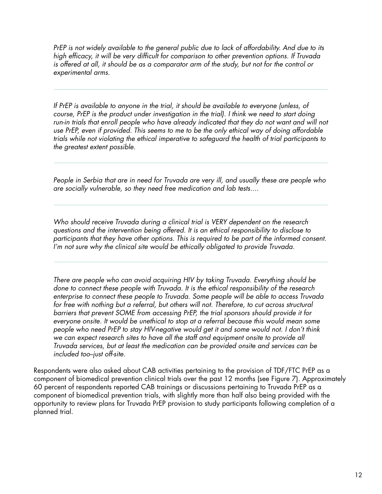*PrEP is not widely available to the general public due to lack of affordability. And due to its high efficacy, it will be very difficult for comparison to other prevention options. If Truvada is offered at all, it should be as a comparator arm of the study, but not for the control or experimental arms.* 

*If PrEP is available to anyone in the trial, it should be available to everyone (unless, of course, PrEP is the product under investigation in the trial). I think we need to start doing*  run-in trials that enroll people who have already indicated that they do not want and will not *use PrEP, even if provided. This seems to me to be the only ethical way of doing affordable trials while not violating the ethical imperative to safeguard the health of trial participants to the greatest extent possible.* 

*People in Serbia that are in need for Truvada are very ill, and usually these are people who are socially vulnerable, so they need free medication and lab tests....*

*Who should receive Truvada during a clinical trial is VERY dependent on the research questions and the intervention being offered. It is an ethical responsibility to disclose to participants that they have other options. This is required to be part of the informed consent. I'm not sure why the clinical site would be ethically obligated to provide Truvada.* 

*There are people who can avoid acquiring HIV by taking Truvada. Everything should be done to connect these people with Truvada. It is the ethical responsibility of the research enterprise to connect these people to Truvada. Some people will be able to access Truvada*  for free with nothing but a referral, but others will not. Therefore, to cut across structural *barriers that prevent SOME from accessing PrEP, the trial sponsors should provide it for everyone onsite. It would be unethical to stop at a referral because this would mean some people who need PrEP to stay HIV-negative would get it and some would not. I don't think we can expect research sites to have all the staff and equipment onsite to provide all Truvada services, but at least the medication can be provided onsite and services can be included too--just off-site.*

Respondents were also asked about CAB activities pertaining to the provision of TDF/FTC PrEP as a component of biomedical prevention clinical trials over the past 12 months (see Figure 7). Approximately 60 percent of respondents reported CAB trainings or discussions pertaining to Truvada PrEP as a component of biomedical prevention trials, with slightly more than half also being provided with the opportunity to review plans for Truvada PrEP provision to study participants following completion of a planned trial.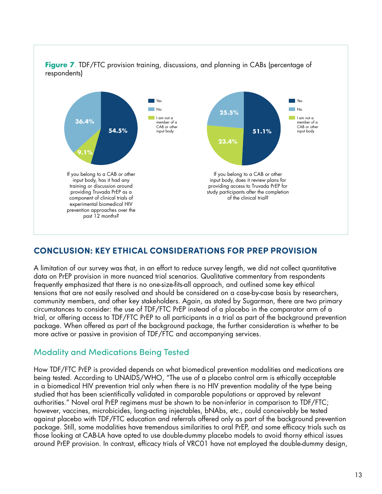

# **CONCLUSION: KEY ETHICAL CONSIDERATIONS FOR PREP PROVISION**

A limitation of our survey was that, in an effort to reduce survey length, we did not collect quantitative data on PrEP provision in more nuanced trial scenarios. Qualitative commentary from respondents frequently emphasized that there is no one-size-fits-all approach, and outlined some key ethical tensions that are not easily resolved and should be considered on a case-by-case basis by researchers, community members, and other key stakeholders. Again, as stated by Sugarman, there are two primary circumstances to consider: the use of TDF/FTC PrEP instead of a placebo in the comparator arm of a trial, or offering access to TDF/FTC PrEP to all participants in a trial as part of the background prevention package. When offered as part of the background package, the further consideration is whether to be more active or passive in provision of TDF/FTC and accompanying services.

#### Modality and Medications Being Tested

How TDF/FTC PrEP is provided depends on what biomedical prevention modalities and medications are being tested. According to UNAIDS/WHO, "The use of a placebo control arm is ethically acceptable in a biomedical HIV prevention trial only when there is no HIV prevention modality of the type being studied that has been scientifically validated in comparable populations or approved by relevant authorities." Novel oral PrEP regimens must be shown to be non-inferior in comparison to TDF/FTC; however, vaccines, microbicides, long-acting injectables, bNAbs, etc., could conceivably be tested against placebo with TDF/FTC education and referrals offered only as part of the background prevention package. Still, some modalities have tremendous similarities to oral PrEP, and some efficacy trials such as those looking at CAB-LA have opted to use double-dummy placebo models to avoid thorny ethical issues around PrEP provision. In contrast, efficacy trials of VRC01 have not employed the double-dummy design,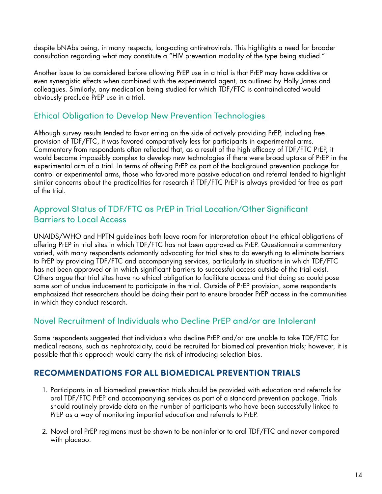despite bNAbs being, in many respects, long-acting antiretrovirals. This highlights a need for broader consultation regarding what may constitute a "HIV prevention modality of the type being studied."

Another issue to be considered before allowing PrEP use in a trial is that PrEP may have additive or even synergistic effects when combined with the experimental agent, as outlined by Holly Janes and colleagues. Similarly, any medication being studied for which TDF/FTC is contraindicated would obviously preclude PrEP use in a trial.

# Ethical Obligation to Develop New Prevention Technologies

Although survey results tended to favor erring on the side of actively providing PrEP, including free provision of TDF/FTC, it was favored comparatively less for participants in experimental arms. Commentary from respondents often reflected that, as a result of the high efficacy of TDF/FTC PrEP, it would become impossibly complex to develop new technologies if there were broad uptake of PrEP in the experimental arm of a trial. In terms of offering PrEP as part of the background prevention package for control or experimental arms, those who favored more passive education and referral tended to highlight similar concerns about the practicalities for research if TDF/FTC PrEP is always provided for free as part of the trial.

# Approval Status of TDF/FTC as PrEP in Trial Location/Other Significant Barriers to Local Access

UNAIDS/WHO and HPTN guidelines both leave room for interpretation about the ethical obligations of offering PrEP in trial sites in which TDF/FTC has not been approved as PrEP. Questionnaire commentary varied, with many respondents adamantly advocating for trial sites to do everything to eliminate barriers to PrEP by providing TDF/FTC and accompanying services, particularly in situations in which TDF/FTC has not been approved or in which significant barriers to successful access outside of the trial exist. Others argue that trial sites have no ethical obligation to facilitate access and that doing so could pose some sort of undue inducement to participate in the trial. Outside of PrEP provision, some respondents emphasized that researchers should be doing their part to ensure broader PrEP access in the communities in which they conduct research.

#### Novel Recruitment of Individuals who Decline PrEP and/or are Intolerant

Some respondents suggested that individuals who decline PrEP and/or are unable to take TDF/FTC for medical reasons, such as nephrotoxicity, could be recruited for biomedical prevention trials; however, it is possible that this approach would carry the risk of introducing selection bias.

#### **RECOMMENDATIONS FOR ALL BIOMEDICAL PREVENTION TRIALS**

- 1. Participants in all biomedical prevention trials should be provided with education and referrals for oral TDF/FTC PrEP and accompanying services as part of a standard prevention package. Trials should routinely provide data on the number of participants who have been successfully linked to PrEP as a way of monitoring impartial education and referrals to PrEP.
- 2. Novel oral PrEP regimens must be shown to be non-inferior to oral TDF/FTC and never compared with placebo.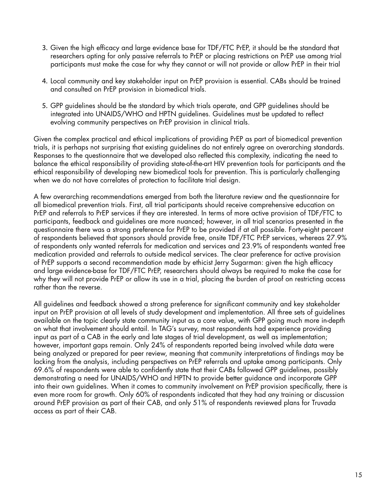- 3. Given the high efficacy and large evidence base for TDF/FTC PrEP, it should be the standard that researchers opting for only passive referrals to PrEP or placing restrictions on PrEP use among trial participants must make the case for why they cannot or will not provide or allow PrEP in their trial
- 4. Local community and key stakeholder input on PrEP provision is essential. CABs should be trained and consulted on PrEP provision in biomedical trials.
- 5. GPP guidelines should be the standard by which trials operate, and GPP guidelines should be integrated into UNAIDS/WHO and HPTN guidelines. Guidelines must be updated to reflect evolving community perspectives on PrEP provision in clinical trials.

Given the complex practical and ethical implications of providing PrEP as part of biomedical prevention trials, it is perhaps not surprising that existing guidelines do not entirely agree on overarching standards. Responses to the questionnaire that we developed also reflected this complexity, indicating the need to balance the ethical responsibility of providing state-of-the-art HIV prevention tools for participants and the ethical responsibility of developing new biomedical tools for prevention. This is particularly challenging when we do not have correlates of protection to facilitate trial design.

A few overarching recommendations emerged from both the literature review and the questionnaire for all biomedical prevention trials. First, all trial participants should receive comprehensive education on PrEP and referrals to PrEP services if they are interested. In terms of more active provision of TDF/FTC to participants, feedback and guidelines are more nuanced; however, in all trial scenarios presented in the questionnaire there was a strong preference for PrEP to be provided if at all possible. Forty-eight percent of respondents believed that sponsors should provide free, onsite TDF/FTC PrEP services, whereas 27.9% of respondents only wanted referrals for medication and services and 23.9% of respondents wanted free medication provided and referrals to outside medical services. The clear preference for active provision of PrEP supports a second recommendation made by ethicist Jerry Sugarman: given the high efficacy and large evidence-base for TDF/FTC PrEP, researchers should always be required to make the case for why they will not provide PrEP or allow its use in a trial, placing the burden of proof on restricting access rather than the reverse.

All guidelines and feedback showed a strong preference for significant community and key stakeholder input on PrEP provision at all levels of study development and implementation. All three sets of guidelines available on the topic clearly state community input as a core value, with GPP going much more in-depth on what that involvement should entail. In TAG's survey, most respondents had experience providing input as part of a CAB in the early and late stages of trial development, as well as implementation; however, important gaps remain. Only 24% of respondents reported being involved while data were being analyzed or prepared for peer review, meaning that community interpretations of findings may be lacking from the analysis, including perspectives on PrEP referrals and uptake among participants. Only 69.6% of respondents were able to confidently state that their CABs followed GPP guidelines, possibly demonstrating a need for UNAIDS/WHO and HPTN to provide better guidance and incorporate GPP into their own guidelines. When it comes to community involvement on PrEP provision specifically, there is even more room for growth. Only 60% of respondents indicated that they had any training or discussion around PrEP provision as part of their CAB, and only 51% of respondents reviewed plans for Truvada access as part of their CAB.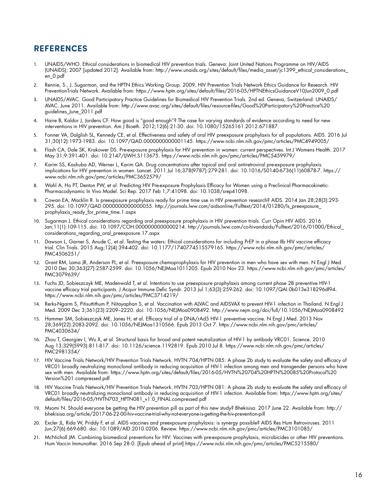## **REFERENCES**

- 1. UNAIDS/WHO. Ethical considerations in biomedical HIV prevention trials. Geneva: Joint United Nations Programme on HIV/AIDS (UNAIDS); 2007 [updated 2012]. Available from: http://www.unaids.org/sites/default/files/media\_asset/jc1399\_ethical\_considerations\_ en\_0.pdf
- 2. Rennie, S., J. Sugarman, and the HPTN Ethics Working Group. 2009. HIV Prevention Trials Network Ethics Guidance for Research. HIV PreventionTrials Network. Available from: https://www.hptn.org/sites/default/files/2016-05/HPTNEthicsGuidanceV10Jun2009\_0.pdf
- 3. UNAIDS/AVAC. Good Participatory Practice Guidelines for Biomedical HIV Prevention Trials. 2nd ed. Geneva, Switzerland: UNAIDS/ AVAC. June 2011. Available from: http://www.avac.org/sites/default/files/resource-files/Good%20Participatory%20Practice%20 guidelines\_June\_2011.pdf
- 4. Haire B, Kaldor J, Jordens CF. How good is "good enough"? The case for varying standards of evidence according to need for new interventions in HIV prevention. Am J Bioeth. 2012;12(6):21-30. doi: 10.1080/15265161.2012.671887.
- 5. Fonner VA, Dalglish SL, Kennedy CE, et al. Effectiveness and safety of oral HIV preexposure prophylaxis for all populations. AIDS. 2016 Jul 31;30(12):1973-1983. doi: 10.1097/QAD.0000000000001145. https://www.ncbi.nlm.nih.gov/pmc/articles/PMC4949005/
- 6. Flash CA, Dale SK, Krakower DS. Pre-exposure prophylaxis for HIV prevention in women: current perspectives. Int J Womens Health. 2017 May 31;9:391-401. doi: 10.2147/IJWH.S113675. https://www.ncbi.nlm.nih.gov/pmc/articles/PMC5459979/
- 7. Karim SS, Kashuba AD, Werner L, Karim QA. Drug concentrations after topical and oral antiretroviral pre-exposure prophylaxis: implications for HIV prevention in women. Lancet. 2011 Jul 16;378(9787):279-281. doi: 10.1016/S0140-6736(11)60878-7. https:// www.ncbi.nlm.nih.gov/pmc/articles/PMC3652579/
- 8. Wahl A, Ho PT, Denton PW, et al. Predicting HIV Pre-exposure Prophylaxis Efficacy for Women using a Preclinical Pharmacokinetic-Pharmacodynamic In Vivo Model. Sci Rep. 2017 Feb 1;7:41098. doi: 10.1038/srep41098.
- 9. Cowan EA, Macklin R. Is preexposure prophylaxis ready for prime time use in HIV prevention research? AIDS. 2014 Jan 28;28(3):293- 295. doi: 10.1097/QAD.0000000000000055. http://journals.lww.com/aidsonline/Fulltext/2014/01280/Is\_preexposure\_ prophylaxis\_ready\_for\_prime\_time.1.aspx
- 10. Sugarman J. Ethical considerations regarding oral preexposure prophylaxis in HIV prevention trials. Curr Opin HIV AIDS. 2016 Jan;11(1):109-115. doi: 10.1097/COH.0000000000000214. http://journals.lww.com/co-hivandaids/Fulltext/2016/01000/Ethical\_ considerations\_regarding\_oral\_preexposure.17.aspx
- 11. Dawson L, Garner S, Anude C, et al. Testing the waters: Ethical considerations for including PrEP in a phase IIb HIV vaccine efficacy trial. Clin Trials. 2015 Aug;12(4):394-402. doi: 10.1177/1740774515579165. https://www.ncbi.nlm.nih.gov/pmc/articles/ PMC4506251/
- 12. Grant RM, Lama JR, Anderson PL, et al. Preexposure chemoprophylaxis for HIV prevention in men who have sex with men. N Engl J Med. 2010 Dec 30;363(27):2587-2599. doi: 10.1056/NEJMoa1011205. Epub 2010 Nov 23. https://www.ncbi.nlm.nih.gov/pmc/articles/ PMC3079639/
- 13. Fuchs JD, Sobieszczyk ME, Madenwald T, et al. Intentions to use preexposure prophylaxis among current phase 2B preventive HIV-1 vaccine efficacy trial participants. J Acquir Immune Defic Syndr. 2013 Jul 1;63(3):259-262. doi: 10.1097/QAI.0b013e318296df94. https://www.ncbi.nlm.nih.gov/pmc/articles/PMC3714219/
- 14. Rerks-Ngarm S, Pitisuttithum P, Nitayaphan S, et al. Vaccination with ALVAC and AIDSVAX to prevent HIV-1 infection in Thailand. N Engl J Med. 2009 Dec 3;361(23):2209–2220. doi: 10.1056/NEJMoa0908492. http://www.nejm.org/doi/full/10.1056/NEJMoa0908492
- 15. Hammer SM, Sobieszczyk ME, Janes H, et al. Efficacy trial of a DNA/rAd5 HIV-1 preventive vaccine. N Engl J Med. 2013 Nov 28;369(22):2083-2092. doi: 10.1056/NEJMoa1310566. Epub 2013 Oct 7. https://www.ncbi.nlm.nih.gov/pmc/articles/ PMC4030634/
- 16. Zhou T, Georgiev I, Wu X, et al. Structural basis for broad and potent neutralization of HIV-1 by antibody VRC01. Science. 2010 Aug 13;329(5993):811-817. doi: 10.1126/science.1192819. Epub 2010 Jul 8. https://www.ncbi.nlm.nih.gov/pmc/articles/ PMC2981354/
- 17. HIV Vaccine Trials Network/HIV Prevention Trials Network. HVTN 704/HPTN 085: A phase 2b study to evaluate the safety and efficacy of VRC01 broadly neutralizing monoclonal antibody in reducing acquisition of HIV-1 infection among men and transgender persons who have sex with men. Available from: https://www.hptn.org/sites/default/files/2016-05/HVTN%20704%20HPTN%20085%20Protocol%20 Version%201.compressed.pdf
- 18. HIV Vaccine Trials Network/HIV Prevention Trials Network. HVTN 703/HPTN 081: A phase 2b study to evaluate the safety and efficacy of VRC01 broadly neutralizing monoclonal antibody in reducing acquisition of HIV-1 infection. Available from: https://www.hptn.org/sites/ default/files/2016-05/HVTN703\_HPTN081\_v1.0\_FINAL.compressed.pdf
- 19. Msomi N. Should everyone be getting the HIV prevention pill as part of this new study? Bhekisisa. 2017 June 22. Available from: http:// bhekisisa.org/article/2017-06-22-00-hiv-vaccine-trial-why-not-everyone-is-getting-the-hiv-prevention-pill
- 20. Excler JL, Rida W, Priddy F, et al. AIDS vaccines and preexposure prophylaxis: is synergy possible? AIDS Res Hum Retroviruses. 2011 Jun;27(6):669-680. doi: 10.1089/AID.2010.0206. Review. https://www.ncbi.nlm.nih.gov/pmc/articles/PMC3101085/
- 21. McNicholl JM. Combining biomedical preventions for HIV: Vaccines with pre-exposure prophylaxis, microbicides or other HIV preventions. Hum Vaccin Immunother. 2016 Sep 28:0. [Epub ahead of print] https://www.ncbi.nlm.nih.gov/pmc/articles/PMC5215580/